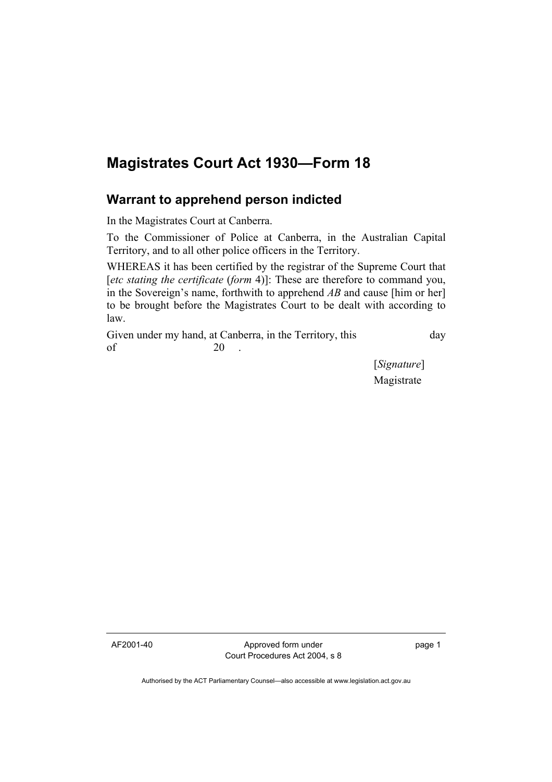## **Magistrates Court Act 1930—Form 18**

## **Warrant to apprehend person indicted**

In the Magistrates Court at Canberra.

To the Commissioner of Police at Canberra, in the Australian Capital Territory, and to all other police officers in the Territory.

WHEREAS it has been certified by the registrar of the Supreme Court that [*etc stating the certificate* (*form* 4)]: These are therefore to command you, in the Sovereign's name, forthwith to apprehend *AB* and cause [him or her] to be brought before the Magistrates Court to be dealt with according to law.

Given under my hand, at Canberra, in the Territory, this day of  $20$ .

> [*Signature*] Magistrate

AF2001-40 Approved form under Court Procedures Act 2004, s 8 page 1

Authorised by the ACT Parliamentary Counsel—also accessible at www.legislation.act.gov.au